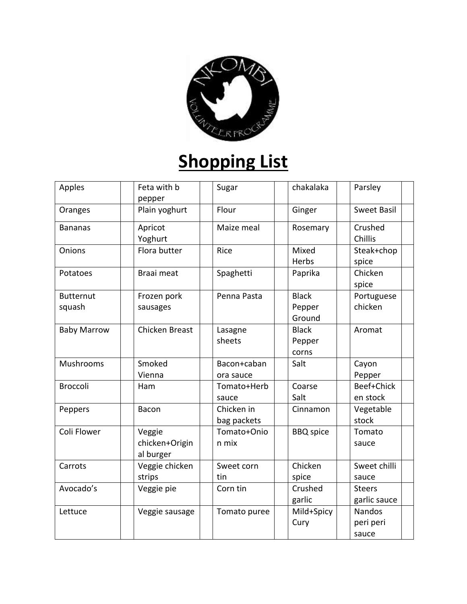

## **Shopping List**

| Apples                     | Feta with b<br>pepper                 | Sugar                     | chakalaka                        | Parsley                             |
|----------------------------|---------------------------------------|---------------------------|----------------------------------|-------------------------------------|
| Oranges                    | Plain yoghurt                         | Flour                     | Ginger                           | <b>Sweet Basil</b>                  |
| <b>Bananas</b>             | Apricot<br>Yoghurt                    | Maize meal                | Rosemary                         | Crushed<br>Chillis                  |
| Onions                     | Flora butter                          | Rice                      | Mixed<br>Herbs                   | Steak+chop<br>spice                 |
| Potatoes                   | Braai meat                            | Spaghetti                 | Paprika                          | Chicken<br>spice                    |
| <b>Butternut</b><br>squash | Frozen pork<br>sausages               | Penna Pasta               | <b>Black</b><br>Pepper<br>Ground | Portuguese<br>chicken               |
| <b>Baby Marrow</b>         | Chicken Breast                        | Lasagne<br>sheets         | <b>Black</b><br>Pepper<br>corns  | Aromat                              |
| Mushrooms                  | Smoked<br>Vienna                      | Bacon+caban<br>ora sauce  | Salt                             | Cayon<br>Pepper                     |
| <b>Broccoli</b>            | Ham                                   | Tomato+Herb<br>sauce      | Coarse<br>Salt                   | Beef+Chick<br>en stock              |
| Peppers                    | Bacon                                 | Chicken in<br>bag packets | Cinnamon                         | Vegetable<br>stock                  |
| Coli Flower                | Veggie<br>chicken+Origin<br>al burger | Tomato+Onio<br>n mix      | <b>BBQ</b> spice                 | Tomato<br>sauce                     |
| Carrots                    | Veggie chicken<br>strips              | Sweet corn<br>tin         | Chicken<br>spice                 | Sweet chilli<br>sauce               |
| Avocado's                  | Veggie pie                            | Corn tin                  | Crushed<br>garlic                | <b>Steers</b><br>garlic sauce       |
| Lettuce                    | Veggie sausage                        | Tomato puree              | Mild+Spicy<br>Cury               | <b>Nandos</b><br>peri peri<br>sauce |